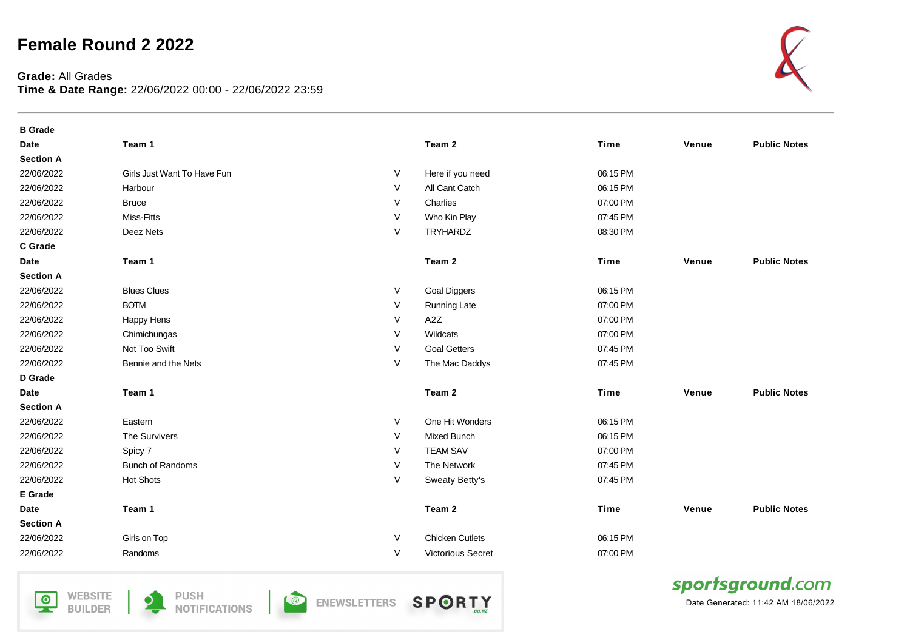## **Female Round 2 2022**

## **Grade:** All Grades **Time & Date Range:** 22/06/2022 00:00 - 22/06/2022 23:59



| <b>B</b> Grade   |                             |        |                        |             |       |                     |
|------------------|-----------------------------|--------|------------------------|-------------|-------|---------------------|
| <b>Date</b>      | Team 1                      |        | Team 2                 | <b>Time</b> | Venue | <b>Public Notes</b> |
| <b>Section A</b> |                             |        |                        |             |       |                     |
| 22/06/2022       | Girls Just Want To Have Fun | V      | Here if you need       | 06:15 PM    |       |                     |
| 22/06/2022       | Harbour                     | V      | All Cant Catch         | 06:15 PM    |       |                     |
| 22/06/2022       | <b>Bruce</b>                | V      | Charlies               | 07:00 PM    |       |                     |
| 22/06/2022       | Miss-Fitts                  | $\vee$ | Who Kin Play           | 07:45 PM    |       |                     |
| 22/06/2022       | Deez Nets                   | V      | <b>TRYHARDZ</b>        | 08:30 PM    |       |                     |
| C Grade          |                             |        |                        |             |       |                     |
| Date             | Team 1                      |        | Team 2                 | Time        | Venue | <b>Public Notes</b> |
| <b>Section A</b> |                             |        |                        |             |       |                     |
| 22/06/2022       | <b>Blues Clues</b>          | V      | <b>Goal Diggers</b>    | 06:15 PM    |       |                     |
| 22/06/2022       | <b>BOTM</b>                 | V      | <b>Running Late</b>    | 07:00 PM    |       |                     |
| 22/06/2022       | Happy Hens                  | V      | A <sub>2</sub> Z       | 07:00 PM    |       |                     |
| 22/06/2022       | Chimichungas                | V      | Wildcats               | 07:00 PM    |       |                     |
| 22/06/2022       | Not Too Swift               | V      | <b>Goal Getters</b>    | 07:45 PM    |       |                     |
| 22/06/2022       | Bennie and the Nets         | V      | The Mac Daddys         | 07:45 PM    |       |                     |
| D Grade          |                             |        |                        |             |       |                     |
| <b>Date</b>      | Team 1                      |        | Team 2                 | Time        | Venue | <b>Public Notes</b> |
| <b>Section A</b> |                             |        |                        |             |       |                     |
| 22/06/2022       | Eastern                     | V      | One Hit Wonders        | 06:15 PM    |       |                     |
| 22/06/2022       | The Survivers               | V      | Mixed Bunch            | 06:15 PM    |       |                     |
| 22/06/2022       | Spicy 7                     | V      | <b>TEAM SAV</b>        | 07:00 PM    |       |                     |
| 22/06/2022       | <b>Bunch of Randoms</b>     | V      | The Network            | 07:45 PM    |       |                     |
| 22/06/2022       | <b>Hot Shots</b>            | V      | Sweaty Betty's         | 07:45 PM    |       |                     |
| <b>E</b> Grade   |                             |        |                        |             |       |                     |
| <b>Date</b>      | Team 1                      |        | Team 2                 | Time        | Venue | <b>Public Notes</b> |
| <b>Section A</b> |                             |        |                        |             |       |                     |
| 22/06/2022       | Girls on Top                | V      | <b>Chicken Cutlets</b> | 06:15 PM    |       |                     |
| 22/06/2022       | Randoms                     | V      | Victorious Secret      | 07:00 PM    |       |                     |

**WEBSITE**  $\overline{\mathsf{P}}$ **BUILDER** 





**SPORTY O** ENEWSLETTERS



Date Generated: 11:42 AM 18/06/2022